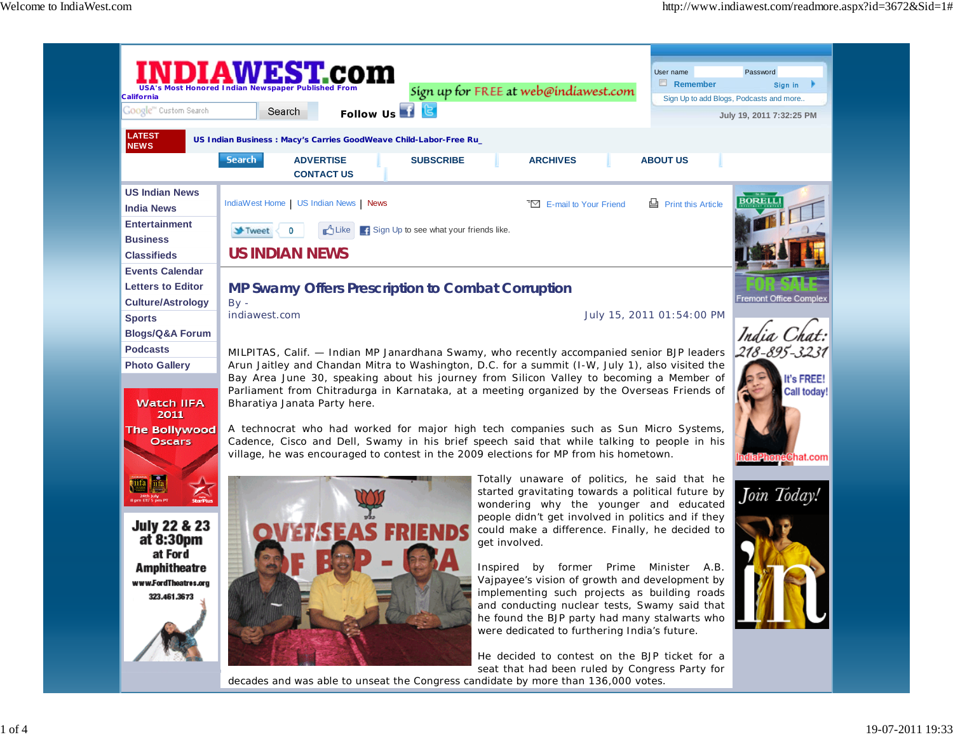